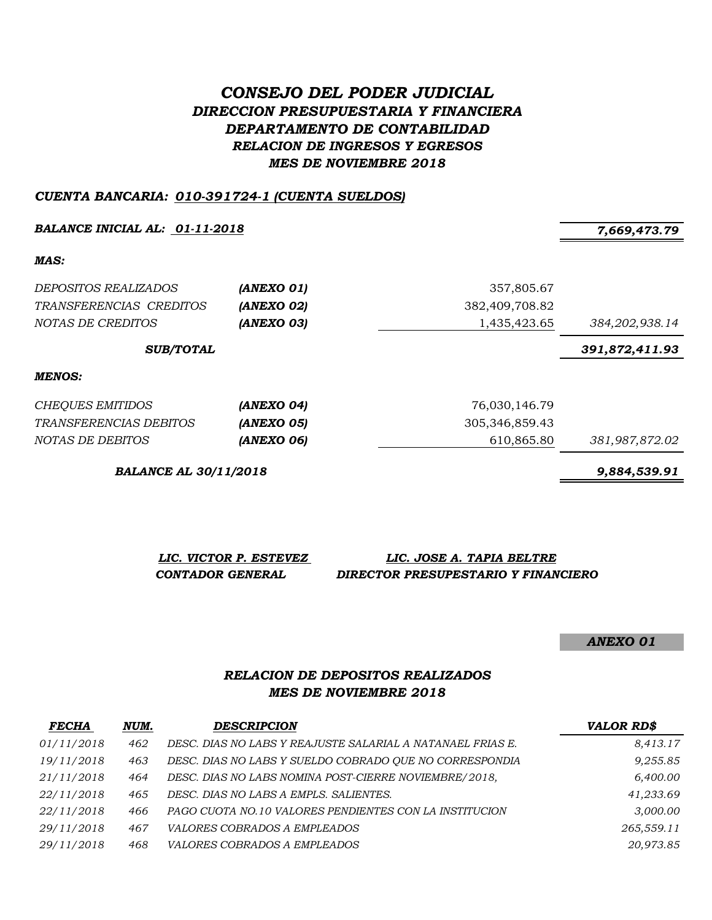# *CONSEJO DEL PODER JUDICIAL DIRECCION PRESUPUESTARIA Y FINANCIERA DEPARTAMENTO DE CONTABILIDAD RELACION DE INGRESOS Y EGRESOS MES DE NOVIEMBRE 2018*

### *CUENTA BANCARIA: 010-391724-1 (CUENTA SUELDOS)*

*BALANCE INICIAL AL: 01-11-2018 7,669,473.79*

*MAS:*

| DEPOSITOS REALIZADOS<br>TRANSFERENCIAS CREDITOS<br>NOTAS DE CREDITOS | (ANEXO 01)<br>(ANEXO 02)<br>(ANEXO 03) | 357,805.67<br>382,409,708.82<br>1,435,423.65 | 384,202,938.14 |
|----------------------------------------------------------------------|----------------------------------------|----------------------------------------------|----------------|
| <b>SUB/TOTAL</b>                                                     |                                        |                                              | 391,872,411.93 |
| MENOS:                                                               |                                        |                                              |                |
| <b>CHEQUES EMITIDOS</b>                                              | (ANEXO 04)                             | 76,030,146.79                                |                |
| <i>TRANSFERENCIAS DEBITOS</i>                                        | (ANEXO 05)                             | 305,346,859.43                               |                |
| NOTAS DE DEBITOS                                                     | (ANEXO 06)                             | 610,865.80                                   | 381,987,872.02 |

*BALANCE AL 30/11/2018 9,884,539.91*

*LIC. VICTOR P. ESTEVEZ LIC. JOSE A. TAPIA BELTRE CONTADOR GENERAL DIRECTOR PRESUPESTARIO Y FINANCIERO*

*ANEXO 01*

# *RELACION DE DEPOSITOS REALIZADOS MES DE NOVIEMBRE 2018*

| <b>FECHA</b> | NUM. | <b>DESCRIPCION</b>                                         | <b>VALOR RD\$</b> |
|--------------|------|------------------------------------------------------------|-------------------|
| 01/11/2018   | 462  | DESC. DIAS NO LABS Y REAJUSTE SALARIAL A NATANAEL FRIAS E. | 8,413.17          |
| 19/11/2018   | 463  | DESC. DIAS NO LABS Y SUELDO COBRADO QUE NO CORRESPONDIA    | 9,255.85          |
| 21/11/2018   | 464  | DESC. DIAS NO LABS NOMINA POST-CIERRE NOVIEMBRE/2018,      | 6,400.00          |
| 22/11/2018   | 465  | DESC. DIAS NO LABS A EMPLS. SALIENTES.                     | 41,233.69         |
| 22/11/2018   | 466  | PAGO CUOTA NO.10 VALORES PENDIENTES CON LA INSTITUCION     | 3,000.00          |
| 29/11/2018   | 467  | VALORES COBRADOS A EMPLEADOS                               | 265,559.11        |
| 29/11/2018   | 468  | <i>VALORES COBRADOS A EMPLEADOS</i>                        | 20,973.85         |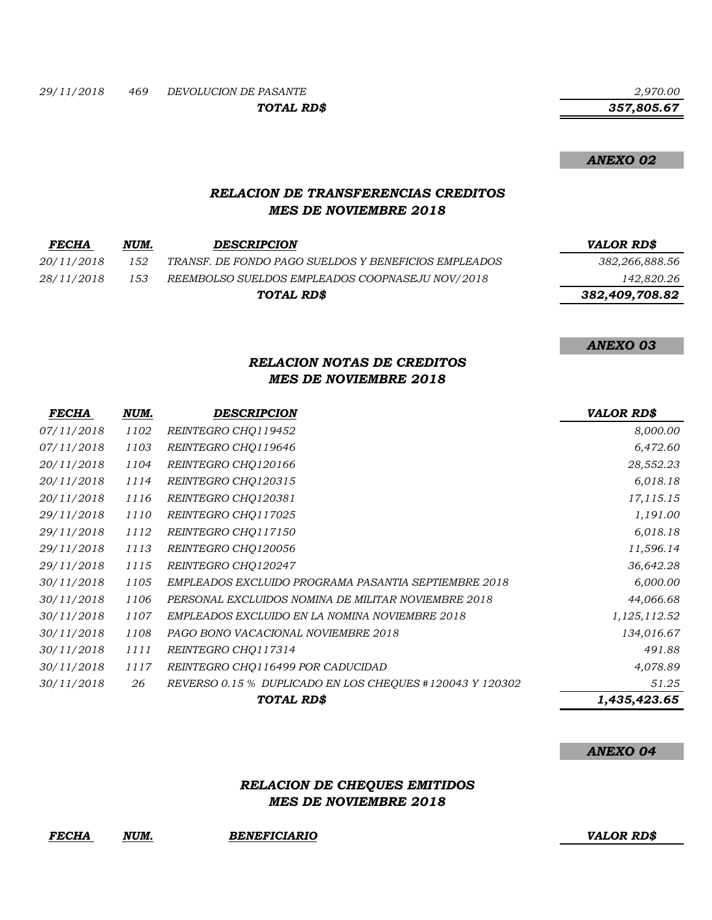*TOTAL RD\$*

 *357,805.67*

*ANEXO 02*

# *RELACION DE TRANSFERENCIAS CREDITOS MES DE NOVIEMBRE 2018*

| <b>FECHA</b> | NUM. | <b>DESCRIPCION</b>                                   | <b>VALOR RDS</b> |
|--------------|------|------------------------------------------------------|------------------|
| 20/11/2018   | 152  | TRANSF. DE FONDO PAGO SUELDOS Y BENEFICIOS EMPLEADOS | 382,266,888.56   |
| 28/11/2018   | 153  | REEMBOLSO SUELDOS EMPLEADOS COOPNASEJU NOV/2018      | 142,820.26       |
|              |      | TOTAL RD\$                                           | 382,409,708.82   |

*ANEXO 03*

# *RELACION NOTAS DE CREDITOS MES DE NOVIEMBRE 2018*

| <b>FECHA</b> | NUM. | <b>DESCRIPCION</b>                                       | <b>VALOR RD\$</b> |
|--------------|------|----------------------------------------------------------|-------------------|
| 07/11/2018   | 1102 | REINTEGRO CHO119452                                      | 8,000.00          |
| 07/11/2018   | 1103 | REINTEGRO CHQ119646                                      | 6,472.60          |
| 20/11/2018   | 1104 | REINTEGRO CHO120166                                      | 28,552.23         |
| 20/11/2018   | 1114 | REINTEGRO CHO120315                                      | 6,018.18          |
| 20/11/2018   | 1116 | REINTEGRO CHO120381                                      | 17,115.15         |
| 29/11/2018   | 1110 | REINTEGRO CHO117025                                      | 1,191.00          |
| 29/11/2018   | 1112 | REINTEGRO CHO117150                                      | 6,018.18          |
| 29/11/2018   | 1113 | REINTEGRO CHO120056                                      | 11,596.14         |
| 29/11/2018   | 1115 | REINTEGRO CHQ120247                                      | 36,642.28         |
| 30/11/2018   | 1105 | EMPLEADOS EXCLUIDO PROGRAMA PASANTIA SEPTIEMBRE 2018     | 6,000.00          |
| 30/11/2018   | 1106 | PERSONAL EXCLUIDOS NOMINA DE MILITAR NOVIEMBRE 2018      | 44,066.68         |
| 30/11/2018   | 1107 | EMPLEADOS EXCLUIDO EN LA NOMINA NOVIEMBRE 2018           | 1,125,112.52      |
| 30/11/2018   | 1108 | PAGO BONO VACACIONAL NOVIEMBRE 2018                      | 134,016.67        |
| 30/11/2018   | 1111 | REINTEGRO CHO117314                                      | 491.88            |
| 30/11/2018   | 1117 | REINTEGRO CHO116499 POR CADUCIDAD                        | 4,078.89          |
| 30/11/2018   | 26   | REVERSO 0.15 % DUPLICADO EN LOS CHEQUES #120043 Y 120302 | 51.25             |
|              |      | TOTAL RD\$                                               | 1,435,423.65      |

#### *ANEXO 04*

# *RELACION DE CHEQUES EMITIDOS MES DE NOVIEMBRE 2018*

*FECHA NUM. BENEFICIARIO VALOR RD\$*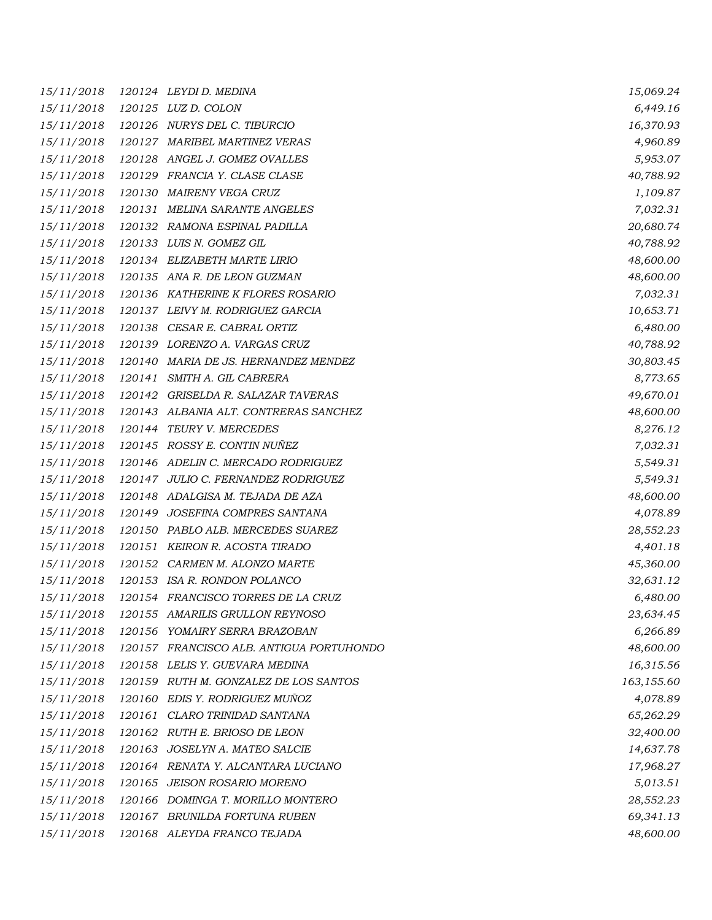| 15/11/2018 | 120124 LEYDID. MEDINA                    | 15,069.24  |
|------------|------------------------------------------|------------|
| 15/11/2018 | 120125 LUZ D. COLON                      | 6,449.16   |
| 15/11/2018 | 120126 NURYS DEL C. TIBURCIO             | 16,370.93  |
| 15/11/2018 | 120127 MARIBEL MARTINEZ VERAS            | 4,960.89   |
| 15/11/2018 | 120128 ANGEL J. GOMEZ OVALLES            | 5,953.07   |
| 15/11/2018 | 120129 FRANCIA Y. CLASE CLASE            | 40,788.92  |
| 15/11/2018 | 120130 MAIRENY VEGA CRUZ                 | 1,109.87   |
| 15/11/2018 | 120131 MELINA SARANTE ANGELES            | 7,032.31   |
| 15/11/2018 | 120132 RAMONA ESPINAL PADILLA            | 20,680.74  |
| 15/11/2018 | 120133 LUIS N. GOMEZ GIL                 | 40,788.92  |
| 15/11/2018 | 120134 ELIZABETH MARTE LIRIO             | 48,600.00  |
| 15/11/2018 | 120135 ANA R. DE LEON GUZMAN             | 48,600.00  |
| 15/11/2018 | 120136 KATHERINE K FLORES ROSARIO        | 7,032.31   |
| 15/11/2018 | 120137 LEIVY M. RODRIGUEZ GARCIA         | 10,653.71  |
| 15/11/2018 | 120138 CESAR E. CABRAL ORTIZ             | 6,480.00   |
| 15/11/2018 | 120139 LORENZO A. VARGAS CRUZ            | 40,788.92  |
| 15/11/2018 | 120140 MARIA DE JS. HERNANDEZ MENDEZ     | 30,803.45  |
| 15/11/2018 | 120141 SMITH A. GIL CABRERA              | 8,773.65   |
| 15/11/2018 | 120142 GRISELDA R. SALAZAR TAVERAS       | 49,670.01  |
| 15/11/2018 | 120143 ALBANIA ALT. CONTRERAS SANCHEZ    | 48,600.00  |
| 15/11/2018 | 120144 TEURY V. MERCEDES                 | 8,276.12   |
| 15/11/2018 | 120145 ROSSY E. CONTIN NUÑEZ             | 7,032.31   |
| 15/11/2018 | 120146 ADELIN C. MERCADO RODRIGUEZ       | 5,549.31   |
| 15/11/2018 | 120147 JULIO C. FERNANDEZ RODRIGUEZ      | 5,549.31   |
| 15/11/2018 | 120148 ADALGISA M. TEJADA DE AZA         | 48,600.00  |
| 15/11/2018 | 120149 JOSEFINA COMPRES SANTANA          | 4,078.89   |
| 15/11/2018 | 120150 PABLO ALB. MERCEDES SUAREZ        | 28,552.23  |
| 15/11/2018 | 120151 KEIRON R. ACOSTA TIRADO           | 4,401.18   |
| 15/11/2018 | 120152 CARMEN M. ALONZO MARTE            | 45,360.00  |
| 15/11/2018 | 120153 ISA R. RONDON POLANCO             | 32,631.12  |
| 15/11/2018 | 120154 FRANCISCO TORRES DE LA CRUZ       | 6,480.00   |
| 15/11/2018 | 120155 AMARILIS GRULLON REYNOSO          | 23,634.45  |
| 15/11/2018 | 120156 YOMAIRY SERRA BRAZOBAN            | 6,266.89   |
| 15/11/2018 | 120157 FRANCISCO ALB. ANTIGUA PORTUHONDO | 48,600.00  |
| 15/11/2018 | 120158 LELIS Y. GUEVARA MEDINA           | 16,315.56  |
| 15/11/2018 | 120159 RUTH M. GONZALEZ DE LOS SANTOS    | 163,155.60 |
| 15/11/2018 | 120160 EDIS Y. RODRIGUEZ MUÑOZ           | 4,078.89   |
| 15/11/2018 | 120161 CLARO TRINIDAD SANTANA            | 65,262.29  |
| 15/11/2018 | 120162 RUTH E. BRIOSO DE LEON            | 32,400.00  |
| 15/11/2018 | 120163 JOSELYN A. MATEO SALCIE           | 14,637.78  |
| 15/11/2018 | 120164 RENATA Y. ALCANTARA LUCIANO       | 17,968.27  |
| 15/11/2018 | 120165 JEISON ROSARIO MORENO             | 5,013.51   |
| 15/11/2018 | 120166 DOMINGA T. MORILLO MONTERO        | 28,552.23  |
| 15/11/2018 | 120167 BRUNILDA FORTUNA RUBEN            | 69,341.13  |
| 15/11/2018 | 120168 ALEYDA FRANCO TEJADA              | 48,600.00  |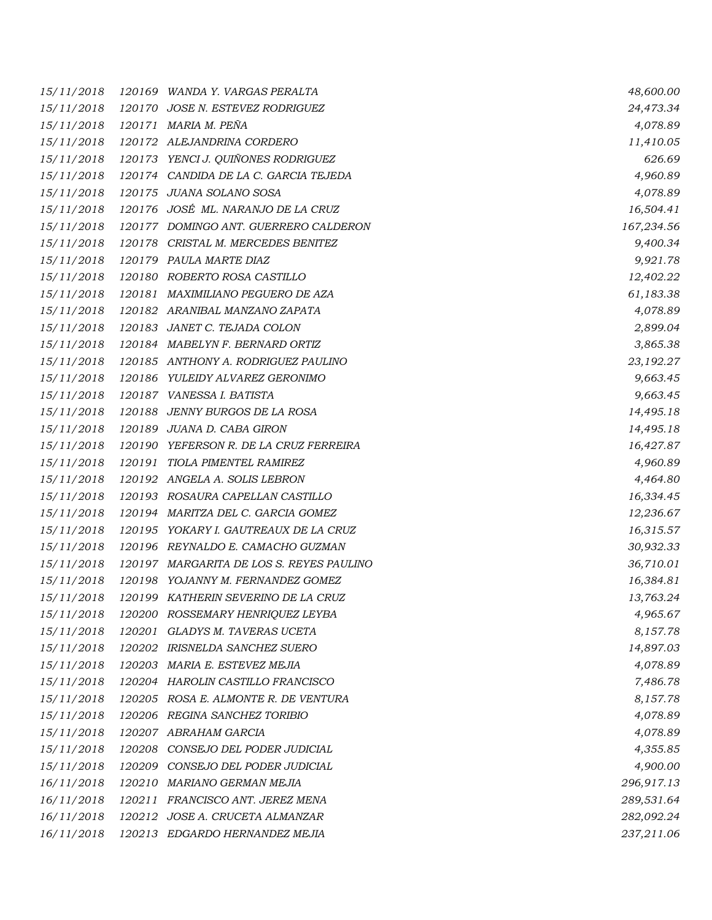| 15/11/2018 |        | 120169 WANDA Y. VARGAS PERALTA           | 48,600.00  |
|------------|--------|------------------------------------------|------------|
| 15/11/2018 |        | 120170 JOSE N. ESTEVEZ RODRIGUEZ         | 24,473.34  |
| 15/11/2018 |        | 120171 MARIA M. PEÑA                     | 4,078.89   |
| 15/11/2018 |        | 120172 ALEJANDRINA CORDERO               | 11,410.05  |
| 15/11/2018 |        | 120173 YENCI J. QUIÑONES RODRIGUEZ       | 626.69     |
| 15/11/2018 |        | 120174 CANDIDA DE LA C. GARCIA TEJEDA    | 4,960.89   |
| 15/11/2018 |        | 120175 JUANA SOLANO SOSA                 | 4,078.89   |
| 15/11/2018 |        | 120176 JOSÉ ML. NARANJO DE LA CRUZ       | 16,504.41  |
| 15/11/2018 |        | 120177 DOMINGO ANT. GUERRERO CALDERON    | 167,234.56 |
| 15/11/2018 |        | 120178 CRISTAL M. MERCEDES BENITEZ       | 9,400.34   |
| 15/11/2018 |        | 120179 PAULA MARTE DIAZ                  | 9,921.78   |
| 15/11/2018 |        | 120180 ROBERTO ROSA CASTILLO             | 12,402.22  |
| 15/11/2018 |        | 120181 MAXIMILIANO PEGUERO DE AZA        | 61,183.38  |
| 15/11/2018 |        | 120182 ARANIBAL MANZANO ZAPATA           | 4,078.89   |
| 15/11/2018 |        | 120183 JANET C. TEJADA COLON             | 2,899.04   |
| 15/11/2018 |        | 120184 MABELYN F. BERNARD ORTIZ          | 3,865.38   |
| 15/11/2018 |        | 120185 ANTHONY A. RODRIGUEZ PAULINO      | 23,192.27  |
| 15/11/2018 |        | 120186 YULEIDY ALVAREZ GERONIMO          | 9,663.45   |
| 15/11/2018 |        | 120187 VANESSA I. BATISTA                | 9,663.45   |
| 15/11/2018 |        | 120188 JENNY BURGOS DE LA ROSA           | 14,495.18  |
| 15/11/2018 |        | 120189 JUANA D. CABA GIRON               | 14,495.18  |
| 15/11/2018 |        | 120190 YEFERSON R. DE LA CRUZ FERREIRA   | 16,427.87  |
| 15/11/2018 |        | 120191 TIOLA PIMENTEL RAMIREZ            | 4,960.89   |
| 15/11/2018 |        | 120192 ANGELA A. SOLIS LEBRON            | 4,464.80   |
| 15/11/2018 |        | 120193 ROSAURA CAPELLAN CASTILLO         | 16,334.45  |
| 15/11/2018 |        | 120194 MARITZA DEL C. GARCIA GOMEZ       | 12,236.67  |
| 15/11/2018 |        | 120195 YOKARY I. GAUTREAUX DE LA CRUZ    | 16,315.57  |
| 15/11/2018 |        | 120196 REYNALDO E. CAMACHO GUZMAN        | 30,932.33  |
| 15/11/2018 |        | 120197 MARGARITA DE LOS S. REYES PAULINO | 36,710.01  |
| 15/11/2018 |        | 120198 YOJANNY M. FERNANDEZ GOMEZ        | 16,384.81  |
| 15/11/2018 |        | 120199 KATHERIN SEVERINO DE LA CRUZ      | 13,763.24  |
| 15/11/2018 |        | 120200 ROSSEMARY HENRIQUEZ LEYBA         | 4,965.67   |
| 15/11/2018 | 120201 | GLADYS M. TAVERAS UCETA                  | 8,157.78   |
| 15/11/2018 |        | 120202 IRISNELDA SANCHEZ SUERO           | 14,897.03  |
| 15/11/2018 |        | 120203 MARIA E. ESTEVEZ MEJIA            | 4,078.89   |
| 15/11/2018 |        | 120204 HAROLIN CASTILLO FRANCISCO        | 7,486.78   |
| 15/11/2018 |        | 120205 ROSA E. ALMONTE R. DE VENTURA     | 8,157.78   |
| 15/11/2018 |        | 120206 REGINA SANCHEZ TORIBIO            | 4,078.89   |
| 15/11/2018 |        | 120207 ABRAHAM GARCIA                    | 4,078.89   |
| 15/11/2018 | 120208 | CONSEJO DEL PODER JUDICIAL               | 4,355.85   |
| 15/11/2018 | 120209 | CONSEJO DEL PODER JUDICIAL               | 4,900.00   |
| 16/11/2018 | 120210 | MARIANO GERMAN MEJIA                     | 296,917.13 |
| 16/11/2018 | 120211 | FRANCISCO ANT. JEREZ MENA                | 289,531.64 |
| 16/11/2018 | 120212 | JOSE A. CRUCETA ALMANZAR                 | 282,092.24 |
| 16/11/2018 |        | 120213 EDGARDO HERNANDEZ MEJIA           | 237,211.06 |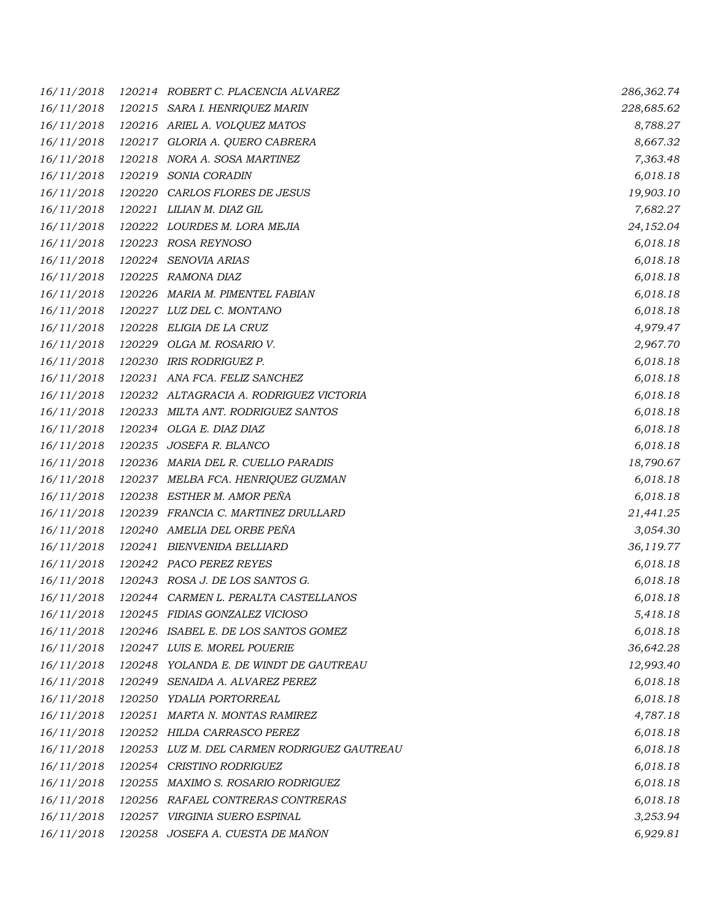| 16/11/2018 |        | 120214 ROBERT C. PLACENCIA ALVAREZ          | 286,362.74 |
|------------|--------|---------------------------------------------|------------|
| 16/11/2018 |        | 120215 SARA I. HENRIQUEZ MARIN              | 228,685.62 |
| 16/11/2018 |        | 120216 ARIEL A. VOLQUEZ MATOS               | 8,788.27   |
| 16/11/2018 |        | 120217 GLORIA A. QUERO CABRERA              | 8,667.32   |
| 16/11/2018 |        | 120218 NORA A. SOSA MARTINEZ                | 7,363.48   |
| 16/11/2018 |        | 120219 SONIA CORADIN                        | 6,018.18   |
| 16/11/2018 |        | 120220 CARLOS FLORES DE JESUS               | 19,903.10  |
| 16/11/2018 |        | 120221 LILIAN M. DIAZ GIL                   | 7,682.27   |
| 16/11/2018 |        | 120222 LOURDES M. LORA MEJIA                | 24,152.04  |
| 16/11/2018 |        | 120223 ROSA REYNOSO                         | 6,018.18   |
| 16/11/2018 | 120224 | <i>SENOVIA ARIAS</i>                        | 6,018.18   |
| 16/11/2018 |        | 120225 RAMONA DIAZ                          | 6,018.18   |
| 16/11/2018 |        | 120226 MARIA M. PIMENTEL FABIAN             | 6,018.18   |
| 16/11/2018 |        | 120227 LUZ DEL C. MONTANO                   | 6,018.18   |
| 16/11/2018 |        | 120228 ELIGIA DE LA CRUZ                    | 4,979.47   |
| 16/11/2018 |        | 120229 OLGA M. ROSARIO V.                   | 2,967.70   |
| 16/11/2018 |        | 120230 IRIS RODRIGUEZ P.                    | 6,018.18   |
| 16/11/2018 |        | 120231 ANA FCA. FELIZ SANCHEZ               | 6,018.18   |
| 16/11/2018 |        | 120232 ALTAGRACIA A. RODRIGUEZ VICTORIA     | 6,018.18   |
| 16/11/2018 |        | 120233 MILTA ANT. RODRIGUEZ SANTOS          | 6,018.18   |
| 16/11/2018 |        | 120234 OLGA E. DIAZ DIAZ                    | 6,018.18   |
| 16/11/2018 |        | 120235 JOSEFA R. BLANCO                     | 6,018.18   |
| 16/11/2018 |        | 120236 MARIA DEL R. CUELLO PARADIS          | 18,790.67  |
| 16/11/2018 |        | 120237 MELBA FCA. HENRIQUEZ GUZMAN          | 6,018.18   |
| 16/11/2018 |        | 120238 ESTHER M. AMOR PEÑA                  | 6,018.18   |
| 16/11/2018 |        | 120239 FRANCIA C. MARTINEZ DRULLARD         | 21,441.25  |
| 16/11/2018 |        | 120240 AMELIA DEL ORBE PEÑA                 | 3,054.30   |
| 16/11/2018 | 120241 | BIENVENIDA BELLIARD                         | 36,119.77  |
| 16/11/2018 |        | 120242 PACO PEREZ REYES                     | 6,018.18   |
| 16/11/2018 |        | 120243 ROSA J. DE LOS SANTOS G.             | 6,018.18   |
| 16/11/2018 |        | 120244 CARMEN L. PERALTA CASTELLANOS        | 6,018.18   |
| 16/11/2018 |        | 120245 FIDIAS GONZALEZ VICIOSO              | 5,418.18   |
| 16/11/2018 |        | 120246 ISABEL E. DE LOS SANTOS GOMEZ        | 6,018.18   |
| 16/11/2018 |        | 120247 LUIS E. MOREL POUERIE                | 36,642.28  |
| 16/11/2018 |        | 120248 YOLANDA E. DE WINDT DE GAUTREAU      | 12,993.40  |
| 16/11/2018 | 120249 | SENAIDA A. ALVAREZ PEREZ                    | 6,018.18   |
| 16/11/2018 |        | 120250 YDALIA PORTORREAL                    | 6,018.18   |
| 16/11/2018 |        | 120251 MARTA N. MONTAS RAMIREZ              | 4,787.18   |
| 16/11/2018 |        | 120252 HILDA CARRASCO PEREZ                 | 6,018.18   |
| 16/11/2018 |        | 120253 LUZ M. DEL CARMEN RODRIGUEZ GAUTREAU | 6,018.18   |
| 16/11/2018 |        | 120254 CRISTINO RODRIGUEZ                   | 6,018.18   |
| 16/11/2018 |        | 120255 MAXIMO S. ROSARIO RODRIGUEZ          | 6,018.18   |
| 16/11/2018 |        | 120256 RAFAEL CONTRERAS CONTRERAS           | 6,018.18   |
| 16/11/2018 |        | 120257 VIRGINIA SUERO ESPINAL               | 3,253.94   |
| 16/11/2018 |        | 120258 JOSEFA A. CUESTA DE MAÑON            | 6,929.81   |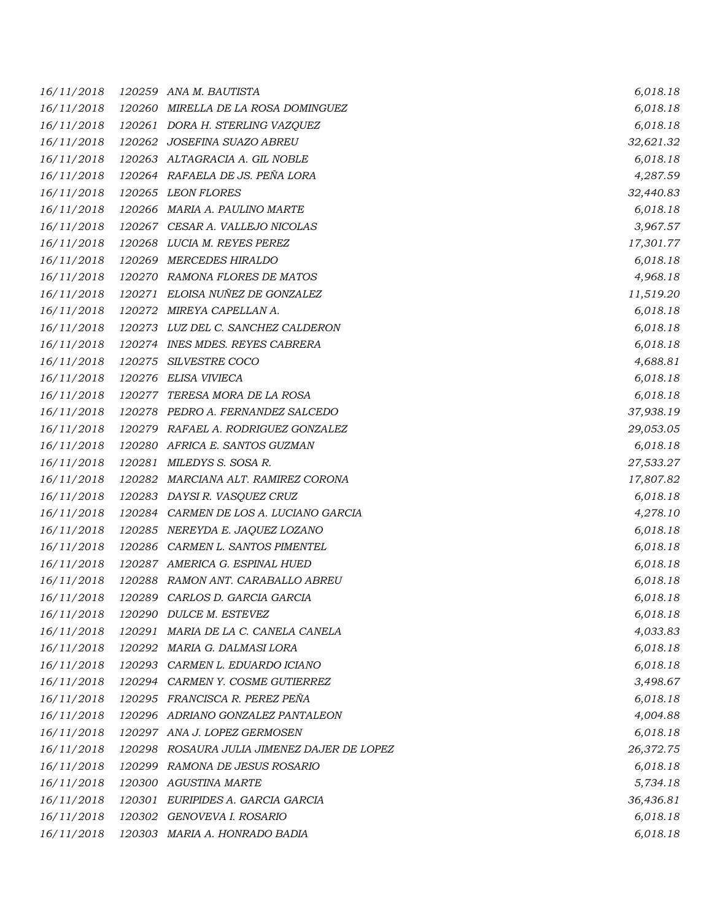| 16/11/2018 |        | 120259 ANA M. BAUTISTA                 | 6,018.18  |
|------------|--------|----------------------------------------|-----------|
| 16/11/2018 | 120260 | MIRELLA DE LA ROSA DOMINGUEZ           | 6,018.18  |
| 16/11/2018 |        | 120261 DORA H. STERLING VAZQUEZ        | 6,018.18  |
| 16/11/2018 |        | 120262 JOSEFINA SUAZO ABREU            | 32,621.32 |
| 16/11/2018 |        | 120263 ALTAGRACIA A. GIL NOBLE         | 6,018.18  |
| 16/11/2018 |        | 120264 RAFAELA DE JS. PEÑA LORA        | 4,287.59  |
| 16/11/2018 |        | 120265 LEON FLORES                     | 32,440.83 |
| 16/11/2018 |        | 120266 MARIA A. PAULINO MARTE          | 6,018.18  |
| 16/11/2018 |        | 120267 CESAR A. VALLEJO NICOLAS        | 3,967.57  |
| 16/11/2018 |        | 120268 LUCIA M. REYES PEREZ            | 17,301.77 |
| 16/11/2018 |        | 120269 MERCEDES HIRALDO                | 6,018.18  |
| 16/11/2018 |        | 120270 RAMONA FLORES DE MATOS          | 4,968.18  |
| 16/11/2018 |        | 120271 ELOISA NUÑEZ DE GONZALEZ        | 11,519.20 |
| 16/11/2018 | 120272 | MIREYA CAPELLAN A.                     | 6,018.18  |
| 16/11/2018 |        | 120273 LUZ DEL C. SANCHEZ CALDERON     | 6,018.18  |
| 16/11/2018 |        | 120274 INES MDES. REYES CABRERA        | 6,018.18  |
| 16/11/2018 |        | 120275 SILVESTRE COCO                  | 4,688.81  |
| 16/11/2018 |        | 120276 ELISA VIVIECA                   | 6,018.18  |
| 16/11/2018 | 120277 | TERESA MORA DE LA ROSA                 | 6,018.18  |
| 16/11/2018 |        | 120278 PEDRO A. FERNANDEZ SALCEDO      | 37,938.19 |
| 16/11/2018 |        | 120279 RAFAEL A. RODRIGUEZ GONZALEZ    | 29,053.05 |
| 16/11/2018 |        | 120280 AFRICA E. SANTOS GUZMAN         | 6,018.18  |
| 16/11/2018 |        | 120281 MILEDYS S. SOSA R.              | 27,533.27 |
| 16/11/2018 |        | 120282 MARCIANA ALT. RAMIREZ CORONA    | 17,807.82 |
| 16/11/2018 |        | 120283 DAYSIR. VASQUEZ CRUZ            | 6,018.18  |
| 16/11/2018 |        | 120284 CARMEN DE LOS A. LUCIANO GARCIA | 4,278.10  |
| 16/11/2018 |        | 120285 NEREYDA E. JAQUEZ LOZANO        | 6,018.18  |
| 16/11/2018 |        | 120286 CARMEN L. SANTOS PIMENTEL       | 6,018.18  |
| 16/11/2018 |        | 120287 AMERICA G. ESPINAL HUED         | 6,018.18  |
| 16/11/2018 |        | 120288 RAMON ANT. CARABALLO ABREU      | 6,018.18  |
| 16/11/2018 |        | 120289 CARLOS D. GARCIA GARCIA         | 6,018.18  |
| 16/11/2018 |        | 120290 DULCE M. ESTEVEZ                | 6,018.18  |
| 16/11/2018 | 120291 | MARIA DE LA C. CANELA CANELA           | 4,033.83  |
| 16/11/2018 |        | 120292 MARIA G. DALMASI LORA           | 6,018.18  |
| 16/11/2018 |        | 120293 CARMEN L. EDUARDO ICIANO        | 6,018.18  |
| 16/11/2018 |        | 120294 CARMEN Y. COSME GUTIERREZ       | 3,498.67  |
| 16/11/2018 |        | 120295 FRANCISCA R. PEREZ PEÑA         | 6,018.18  |
| 16/11/2018 |        | 120296 ADRIANO GONZALEZ PANTALEON      | 4,004.88  |
| 16/11/2018 |        | 120297 ANA J. LOPEZ GERMOSEN           | 6,018.18  |
| 16/11/2018 | 120298 | ROSAURA JULIA JIMENEZ DAJER DE LOPEZ   | 26,372.75 |
| 16/11/2018 | 120299 | RAMONA DE JESUS ROSARIO                | 6,018.18  |
| 16/11/2018 |        | 120300 AGUSTINA MARTE                  | 5,734.18  |
| 16/11/2018 |        | 120301 EURIPIDES A. GARCIA GARCIA      | 36,436.81 |
| 16/11/2018 |        | 120302 GENOVEVA I. ROSARIO             | 6,018.18  |
| 16/11/2018 |        | 120303 MARIA A. HONRADO BADIA          | 6,018.18  |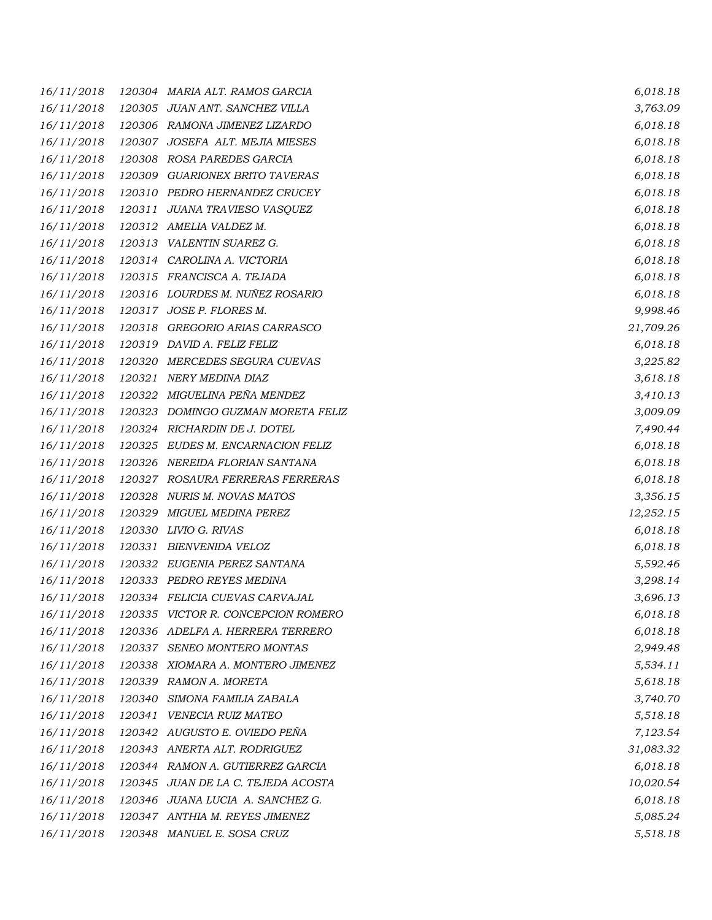*16/11/2018 120304 MARIA ALT. RAMOS GARCIA 6,018.18 16/11/2018 120305 JUAN ANT. SANCHEZ VILLA 3,763.09 16/11/2018 120306 RAMONA JIMENEZ LIZARDO 6,018.18 16/11/2018 120307 JOSEFA ALT. MEJIA MIESES 6,018.18 16/11/2018 120308 ROSA PAREDES GARCIA 6,018.18 16/11/2018 120309 GUARIONEX BRITO TAVERAS 6,018.18 16/11/2018 120310 PEDRO HERNANDEZ CRUCEY 6,018.18 16/11/2018 120311 JUANA TRAVIESO VASQUEZ 6,018.18 16/11/2018 120312 AMELIA VALDEZ M. 6,018.18 16/11/2018 120313 VALENTIN SUAREZ G. 6,018.18 16/11/2018 120314 CAROLINA A. VICTORIA 6,018.18 16/11/2018 120315 FRANCISCA A. TEJADA 6,018.18 16/11/2018 120316 LOURDES M. NUÑEZ ROSARIO 6,018.18 16/11/2018 120317 JOSE P. FLORES M. 9,998.46 16/11/2018 120318 GREGORIO ARIAS CARRASCO 21,709.26 16/11/2018 120319 DAVID A. FELIZ FELIZ 6,018.18 16/11/2018 120320 MERCEDES SEGURA CUEVAS 3,225.82 16/11/2018 120321 NERY MEDINA DIAZ 3,618.18 16/11/2018 120322 MIGUELINA PEÑA MENDEZ 3,410.13 16/11/2018 120323 DOMINGO GUZMAN MORETA FELIZ 3,009.09 16/11/2018 120324 RICHARDIN DE J. DOTEL 7,490.44 16/11/2018 120325 EUDES M. ENCARNACION FELIZ 6,018.18 16/11/2018 120326 NEREIDA FLORIAN SANTANA 6,018.18 16/11/2018 120327 ROSAURA FERRERAS FERRERAS 6,018.18 16/11/2018 120328 NURIS M. NOVAS MATOS 3,356.15 16/11/2018 120329 MIGUEL MEDINA PEREZ 12,252.15 16/11/2018 120330 LIVIO G. RIVAS 6,018.18 16/11/2018 120331 BIENVENIDA VELOZ 6,018.18 16/11/2018 120332 EUGENIA PEREZ SANTANA 5,592.46 16/11/2018 120333 PEDRO REYES MEDINA 3,298.14 16/11/2018 120334 FELICIA CUEVAS CARVAJAL 3,696.13 16/11/2018 120335 VICTOR R. CONCEPCION ROMERO 6,018.18 16/11/2018 120336 ADELFA A. HERRERA TERRERO 6,018.18 16/11/2018 120337 SENEO MONTERO MONTAS 2,949.48 16/11/2018 120338 XIOMARA A. MONTERO JIMENEZ 5,534.11 16/11/2018 120339 RAMON A. MORETA 5,618.18 16/11/2018 120340 SIMONA FAMILIA ZABALA 3,740.70 16/11/2018 120341 VENECIA RUIZ MATEO 5,518.18 16/11/2018 120342 AUGUSTO E. OVIEDO PEÑA 7,123.54 16/11/2018 120343 ANERTA ALT. RODRIGUEZ 31,083.32 16/11/2018 120344 RAMON A. GUTIERREZ GARCIA 6,018.18 16/11/2018 120345 JUAN DE LA C. TEJEDA ACOSTA 10,020.54 16/11/2018 120346 JUANA LUCIA A. SANCHEZ G. 6,018.18 16/11/2018 120347 ANTHIA M. REYES JIMENEZ 5,085.24 16/11/2018 120348 MANUEL E. SOSA CRUZ 5,518.18*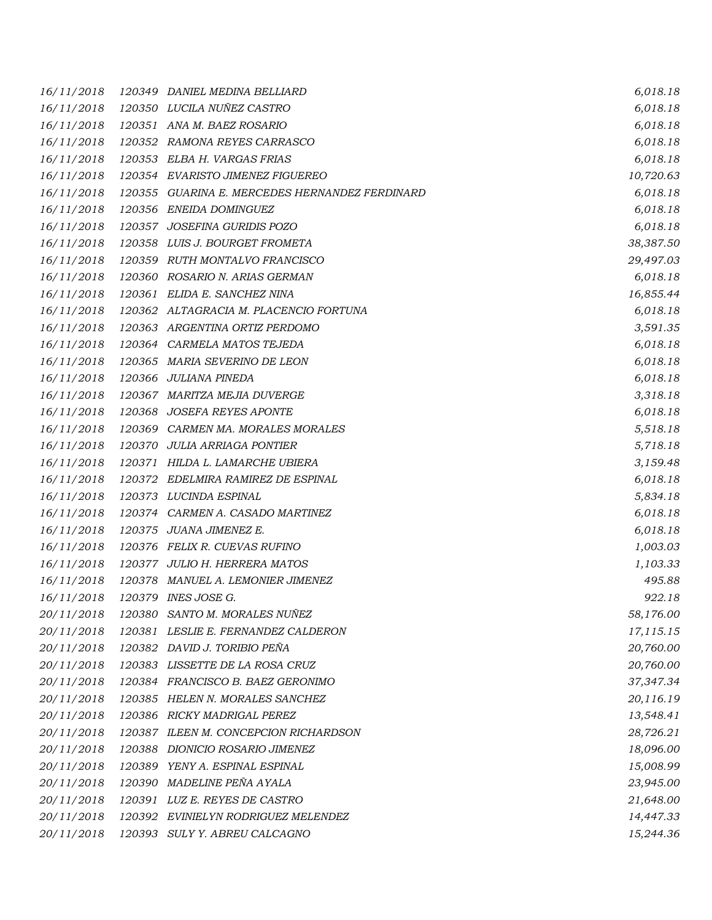| 16/11/2018 |        | 120349 DANIEL MEDINA BELLIARD                  | 6,018.18  |
|------------|--------|------------------------------------------------|-----------|
| 16/11/2018 |        | 120350 LUCILA NUÑEZ CASTRO                     | 6,018.18  |
| 16/11/2018 |        | 120351 ANA M. BAEZ ROSARIO                     | 6,018.18  |
| 16/11/2018 |        | 120352 RAMONA REYES CARRASCO                   | 6,018.18  |
| 16/11/2018 |        | 120353 ELBA H. VARGAS FRIAS                    | 6,018.18  |
| 16/11/2018 |        | 120354 EVARISTO JIMENEZ FIGUEREO               | 10,720.63 |
| 16/11/2018 |        | 120355 GUARINA E. MERCEDES HERNANDEZ FERDINARD | 6,018.18  |
| 16/11/2018 |        | 120356 ENEIDA DOMINGUEZ                        | 6,018.18  |
| 16/11/2018 |        | 120357 JOSEFINA GURIDIS POZO                   | 6,018.18  |
| 16/11/2018 |        | 120358 LUIS J. BOURGET FROMETA                 | 38,387.50 |
| 16/11/2018 |        | 120359 RUTH MONTALVO FRANCISCO                 | 29,497.03 |
| 16/11/2018 |        | 120360 ROSARIO N. ARIAS GERMAN                 | 6,018.18  |
| 16/11/2018 |        | 120361 ELIDA E. SANCHEZ NINA                   | 16,855.44 |
| 16/11/2018 |        | 120362 ALTAGRACIA M. PLACENCIO FORTUNA         | 6,018.18  |
| 16/11/2018 |        | 120363 ARGENTINA ORTIZ PERDOMO                 | 3,591.35  |
| 16/11/2018 |        | 120364 CARMELA MATOS TEJEDA                    | 6,018.18  |
| 16/11/2018 |        | 120365 MARIA SEVERINO DE LEON                  | 6,018.18  |
| 16/11/2018 |        | 120366 JULIANA PINEDA                          | 6,018.18  |
| 16/11/2018 |        | 120367 MARITZA MEJIA DUVERGE                   | 3,318.18  |
| 16/11/2018 |        | 120368 JOSEFA REYES APONTE                     | 6,018.18  |
| 16/11/2018 |        | 120369 CARMEN MA. MORALES MORALES              | 5,518.18  |
| 16/11/2018 |        | 120370 JULIA ARRIAGA PONTIER                   | 5,718.18  |
| 16/11/2018 |        | 120371 HILDA L. LAMARCHE UBIERA                | 3,159.48  |
| 16/11/2018 |        | 120372 EDELMIRA RAMIREZ DE ESPINAL             | 6,018.18  |
| 16/11/2018 |        | 120373 LUCINDA ESPINAL                         | 5,834.18  |
| 16/11/2018 |        | 120374 CARMEN A. CASADO MARTINEZ               | 6,018.18  |
| 16/11/2018 |        | 120375 JUANA JIMENEZ E.                        | 6,018.18  |
| 16/11/2018 |        | 120376 FELIX R. CUEVAS RUFINO                  | 1,003.03  |
| 16/11/2018 |        | 120377 JULIO H. HERRERA MATOS                  | 1,103.33  |
| 16/11/2018 | 120378 | MANUEL A. LEMONIER JIMENEZ                     | 495.88    |
| 16/11/2018 |        | 120379 INES JOSE G.                            | 922.18    |
| 20/11/2018 | 120380 | SANTO M. MORALES NUÑEZ                         | 58,176.00 |
| 20/11/2018 |        | 120381 LESLIE E. FERNANDEZ CALDERON            | 17,115.15 |
| 20/11/2018 |        | 120382 DAVID J. TORIBIO PEÑA                   | 20,760.00 |
| 20/11/2018 |        | 120383 LISSETTE DE LA ROSA CRUZ                | 20,760.00 |
| 20/11/2018 |        | 120384 FRANCISCO B. BAEZ GERONIMO              | 37,347.34 |
| 20/11/2018 |        | 120385 HELEN N. MORALES SANCHEZ                | 20,116.19 |
| 20/11/2018 |        | 120386 RICKY MADRIGAL PEREZ                    | 13,548.41 |
| 20/11/2018 |        | 120387 ILEEN M. CONCEPCION RICHARDSON          | 28,726.21 |
| 20/11/2018 |        | 120388 DIONICIO ROSARIO JIMENEZ                | 18,096.00 |
| 20/11/2018 |        | 120389 YENY A. ESPINAL ESPINAL                 | 15,008.99 |
| 20/11/2018 |        | 120390 MADELINE PEÑA AYALA                     | 23,945.00 |
| 20/11/2018 |        | 120391 LUZ E. REYES DE CASTRO                  | 21,648.00 |
| 20/11/2018 |        | 120392 EVINIELYN RODRIGUEZ MELENDEZ            | 14,447.33 |
| 20/11/2018 |        | 120393 SULY Y. ABREU CALCAGNO                  | 15,244.36 |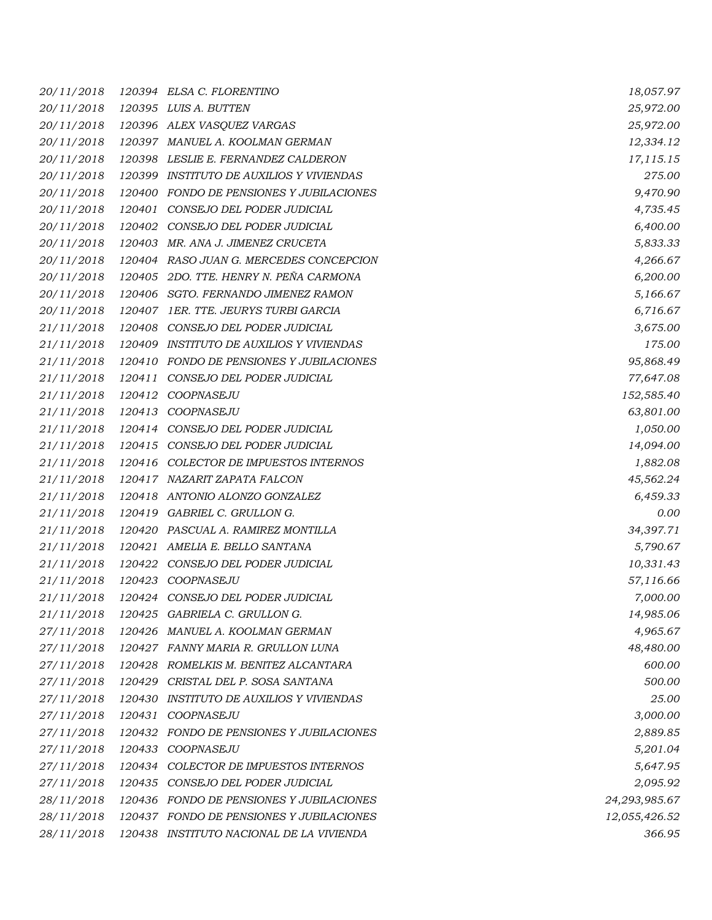| 20/11/2018 |        | 120394 ELSA C. FLORENTINO                | 18,057.97     |
|------------|--------|------------------------------------------|---------------|
| 20/11/2018 |        | 120395 LUIS A. BUTTEN                    | 25,972.00     |
| 20/11/2018 |        | 120396 ALEX VASQUEZ VARGAS               | 25,972.00     |
| 20/11/2018 |        | 120397 MANUEL A. KOOLMAN GERMAN          | 12,334.12     |
| 20/11/2018 |        | 120398 LESLIE E. FERNANDEZ CALDERON      | 17,115.15     |
| 20/11/2018 |        | 120399 INSTITUTO DE AUXILIOS Y VIVIENDAS | 275.00        |
| 20/11/2018 |        | 120400 FONDO DE PENSIONES Y JUBILACIONES | 9,470.90      |
| 20/11/2018 |        | 120401 CONSEJO DEL PODER JUDICIAL        | 4,735.45      |
| 20/11/2018 |        | 120402 CONSEJO DEL PODER JUDICIAL        | 6,400.00      |
| 20/11/2018 |        | 120403 MR. ANA J. JIMENEZ CRUCETA        | 5,833.33      |
| 20/11/2018 |        | 120404 RASO JUAN G. MERCEDES CONCEPCION  | 4,266.67      |
| 20/11/2018 |        | 120405 2DO. TTE. HENRY N. PEÑA CARMONA   | 6,200.00      |
| 20/11/2018 |        | 120406 SGTO. FERNANDO JIMENEZ RAMON      | 5,166.67      |
| 20/11/2018 |        | 120407 IER. TTE. JEURYS TURBI GARCIA     | 6,716.67      |
| 21/11/2018 |        | 120408 CONSEJO DEL PODER JUDICIAL        | 3,675.00      |
| 21/11/2018 |        | 120409 INSTITUTO DE AUXILIOS Y VIVIENDAS | 175.00        |
| 21/11/2018 |        | 120410 FONDO DE PENSIONES Y JUBILACIONES | 95,868.49     |
| 21/11/2018 | 120411 | CONSEJO DEL PODER JUDICIAL               | 77,647.08     |
| 21/11/2018 |        | 120412 COOPNASEJU                        | 152,585.40    |
| 21/11/2018 |        | 120413 COOPNASEJU                        | 63,801.00     |
| 21/11/2018 |        | 120414 CONSEJO DEL PODER JUDICIAL        | 1,050.00      |
| 21/11/2018 |        | 120415 CONSEJO DEL PODER JUDICIAL        | 14,094.00     |
| 21/11/2018 |        | 120416 COLECTOR DE IMPUESTOS INTERNOS    | 1,882.08      |
| 21/11/2018 |        | 120417 NAZARIT ZAPATA FALCON             | 45,562.24     |
| 21/11/2018 |        | 120418 ANTONIO ALONZO GONZALEZ           | 6,459.33      |
| 21/11/2018 |        | 120419 GABRIEL C. GRULLON G.             | 0.00          |
| 21/11/2018 |        | 120420 PASCUAL A. RAMIREZ MONTILLA       | 34,397.71     |
| 21/11/2018 |        | 120421 AMELIA E. BELLO SANTANA           | 5,790.67      |
| 21/11/2018 |        | 120422 CONSEJO DEL PODER JUDICIAL        | 10,331.43     |
| 21/11/2018 | 120423 | COOPNASEJU                               | 57,116.66     |
| 21/11/2018 |        | 120424 CONSEJO DEL PODER JUDICIAL        | 7,000.00      |
| 21/11/2018 |        | 120425 GABRIELA C. GRULLON G.            | 14,985.06     |
| 27/11/2018 |        | 120426 MANUEL A. KOOLMAN GERMAN          | 4,965.67      |
| 27/11/2018 |        | 120427 FANNY MARIA R. GRULLON LUNA       | 48,480.00     |
| 27/11/2018 | 120428 | ROMELKIS M. BENITEZ ALCANTARA            | 600.00        |
| 27/11/2018 |        | 120429 CRISTAL DEL P. SOSA SANTANA       | 500.00        |
| 27/11/2018 | 120430 | <b>INSTITUTO DE AUXILIOS Y VIVIENDAS</b> | 25.00         |
| 27/11/2018 |        | 120431 COOPNASEJU                        | 3,000.00      |
| 27/11/2018 |        | 120432 FONDO DE PENSIONES Y JUBILACIONES | 2,889.85      |
| 27/11/2018 |        | 120433 COOPNASEJU                        | 5,201.04      |
| 27/11/2018 |        | 120434 COLECTOR DE IMPUESTOS INTERNOS    | 5,647.95      |
| 27/11/2018 |        | 120435 CONSEJO DEL PODER JUDICIAL        | 2,095.92      |
| 28/11/2018 |        | 120436 FONDO DE PENSIONES Y JUBILACIONES | 24,293,985.67 |
| 28/11/2018 |        | 120437 FONDO DE PENSIONES Y JUBILACIONES | 12,055,426.52 |
| 28/11/2018 |        | 120438 INSTITUTO NACIONAL DE LA VIVIENDA | 366.95        |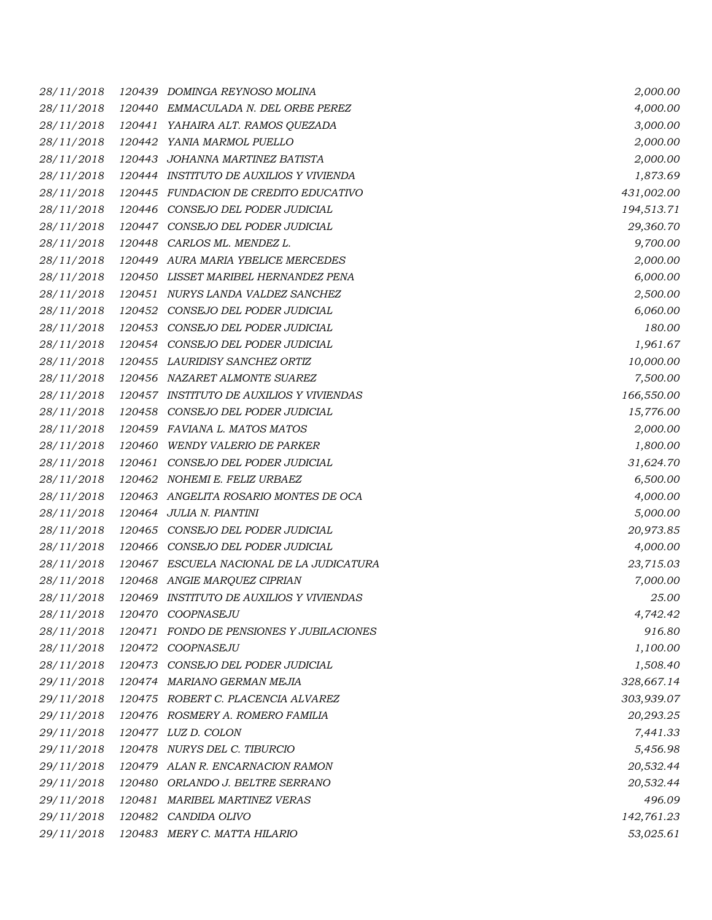| 28/11/2018 |        | 120439 DOMINGA REYNOSO MOLINA            | 2,000.00   |
|------------|--------|------------------------------------------|------------|
| 28/11/2018 |        | 120440 EMMACULADA N. DEL ORBE PEREZ      | 4,000.00   |
| 28/11/2018 | 120441 | YAHAIRA ALT. RAMOS QUEZADA               | 3,000.00   |
| 28/11/2018 |        | 120442 YANIA MARMOL PUELLO               | 2,000.00   |
| 28/11/2018 |        | 120443 JOHANNA MARTINEZ BATISTA          | 2,000.00   |
| 28/11/2018 |        | 120444 INSTITUTO DE AUXILIOS Y VIVIENDA  | 1,873.69   |
| 28/11/2018 |        | 120445 FUNDACION DE CREDITO EDUCATIVO    | 431,002.00 |
| 28/11/2018 |        | 120446 CONSEJO DEL PODER JUDICIAL        | 194,513.71 |
| 28/11/2018 |        | 120447 CONSEJO DEL PODER JUDICIAL        | 29,360.70  |
| 28/11/2018 |        | 120448 CARLOS ML. MENDEZ L.              | 9,700.00   |
| 28/11/2018 |        | 120449 AURA MARIA YBELICE MERCEDES       | 2,000.00   |
| 28/11/2018 |        | 120450 LISSET MARIBEL HERNANDEZ PENA     | 6,000.00   |
| 28/11/2018 |        | 120451 NURYS LANDA VALDEZ SANCHEZ        | 2,500.00   |
| 28/11/2018 |        | 120452 CONSEJO DEL PODER JUDICIAL        | 6,060.00   |
| 28/11/2018 |        | 120453 CONSEJO DEL PODER JUDICIAL        | 180.00     |
| 28/11/2018 |        | 120454 CONSEJO DEL PODER JUDICIAL        | 1,961.67   |
| 28/11/2018 |        | 120455 LAURIDISY SANCHEZ ORTIZ           | 10,000.00  |
| 28/11/2018 |        | 120456 NAZARET ALMONTE SUAREZ            | 7,500.00   |
| 28/11/2018 |        | 120457 INSTITUTO DE AUXILIOS Y VIVIENDAS | 166,550.00 |
| 28/11/2018 |        | 120458 CONSEJO DEL PODER JUDICIAL        | 15,776.00  |
| 28/11/2018 |        | 120459 FAVIANA L. MATOS MATOS            | 2,000.00   |
| 28/11/2018 |        | 120460 WENDY VALERIO DE PARKER           | 1,800.00   |
| 28/11/2018 | 120461 | CONSEJO DEL PODER JUDICIAL               | 31,624.70  |
| 28/11/2018 |        | 120462 NOHEMI E. FELIZ URBAEZ            | 6,500.00   |
| 28/11/2018 |        | 120463 ANGELITA ROSARIO MONTES DE OCA    | 4,000.00   |
| 28/11/2018 |        | 120464 JULIA N. PIANTINI                 | 5,000.00   |
| 28/11/2018 |        | 120465 CONSEJO DEL PODER JUDICIAL        | 20,973.85  |
| 28/11/2018 | 120466 | CONSEJO DEL PODER JUDICIAL               | 4,000.00   |
| 28/11/2018 |        | 120467 ESCUELA NACIONAL DE LA JUDICATURA | 23,715.03  |
| 28/11/2018 |        | 120468 ANGIE MARQUEZ CIPRIAN             | 7,000.00   |
| 28/11/2018 |        | 120469 INSTITUTO DE AUXILIOS Y VIVIENDAS | 25.00      |
| 28/11/2018 |        | 120470 COOPNASEJU                        | 4,742.42   |
| 28/11/2018 |        | 120471 FONDO DE PENSIONES Y JUBILACIONES | 916.80     |
| 28/11/2018 |        | 120472 COOPNASEJU                        | 1,100.00   |
| 28/11/2018 |        | 120473 CONSEJO DEL PODER JUDICIAL        | 1,508.40   |
| 29/11/2018 |        | 120474 MARIANO GERMAN MEJIA              | 328,667.14 |
| 29/11/2018 |        | 120475 ROBERT C. PLACENCIA ALVAREZ       | 303,939.07 |
| 29/11/2018 |        | 120476 ROSMERY A. ROMERO FAMILIA         | 20,293.25  |
| 29/11/2018 |        | 120477 LUZ D. COLON                      | 7,441.33   |
| 29/11/2018 |        | 120478 NURYS DEL C. TIBURCIO             | 5,456.98   |
| 29/11/2018 |        | 120479 ALAN R. ENCARNACION RAMON         | 20,532.44  |
| 29/11/2018 |        | 120480 ORLANDO J. BELTRE SERRANO         | 20,532.44  |
| 29/11/2018 |        | 120481 MARIBEL MARTINEZ VERAS            | 496.09     |
| 29/11/2018 |        | 120482 CANDIDA OLIVO                     | 142,761.23 |
| 29/11/2018 |        | 120483 MERY C. MATTA HILARIO             | 53,025.61  |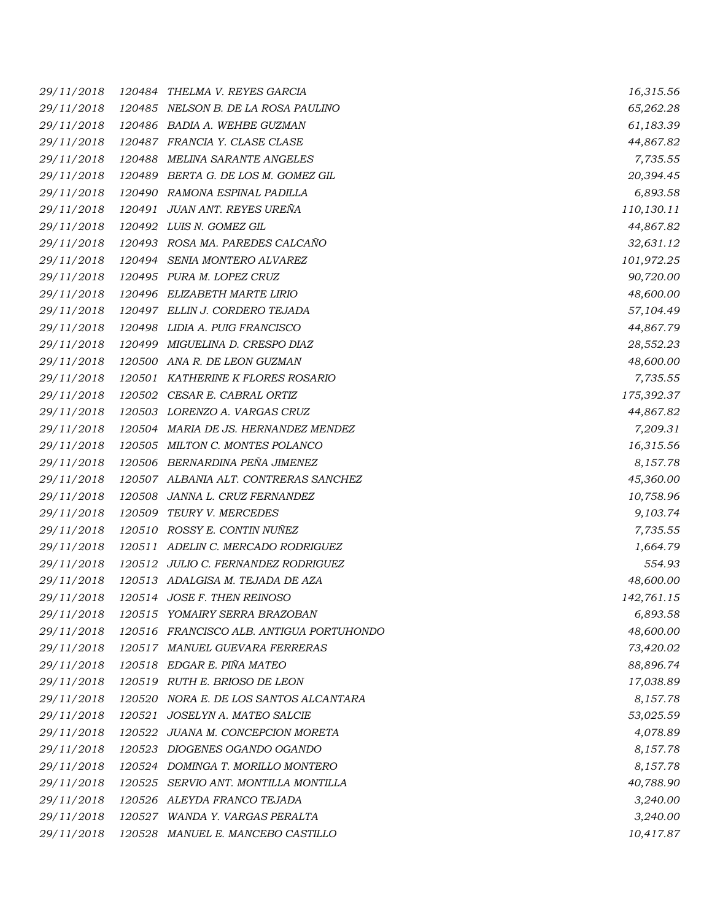*29/11/2018 120484 THELMA V. REYES GARCIA 16,315.56 29/11/2018 120485 NELSON B. DE LA ROSA PAULINO 65,262.28 29/11/2018 120486 BADIA A. WEHBE GUZMAN 61,183.39 29/11/2018 120487 FRANCIA Y. CLASE CLASE 44,867.82 29/11/2018 120488 MELINA SARANTE ANGELES 7,735.55 29/11/2018 120489 BERTA G. DE LOS M. GOMEZ GIL 20,394.45 29/11/2018 120490 RAMONA ESPINAL PADILLA 6,893.58 29/11/2018 120491 JUAN ANT. REYES UREÑA 110,130.11 29/11/2018 120492 LUIS N. GOMEZ GIL 44,867.82 29/11/2018 120493 ROSA MA. PAREDES CALCAÑO 32,631.12 29/11/2018 120494 SENIA MONTERO ALVAREZ 101,972.25 29/11/2018 120495 PURA M. LOPEZ CRUZ 90,720.00 29/11/2018 120496 ELIZABETH MARTE LIRIO 48,600.00 29/11/2018 120497 ELLIN J. CORDERO TEJADA 57,104.49 29/11/2018 120498 LIDIA A. PUIG FRANCISCO 44,867.79 29/11/2018 120499 MIGUELINA D. CRESPO DIAZ 28,552.23 29/11/2018 120500 ANA R. DE LEON GUZMAN 48,600.00 29/11/2018 120501 KATHERINE K FLORES ROSARIO 7,735.55 29/11/2018 120502 CESAR E. CABRAL ORTIZ 175,392.37 29/11/2018 120503 LORENZO A. VARGAS CRUZ 44,867.82 29/11/2018 120504 MARIA DE JS. HERNANDEZ MENDEZ 7,209.31 29/11/2018 120505 MILTON C. MONTES POLANCO 16,315.56 29/11/2018 120506 BERNARDINA PEÑA JIMENEZ 8,157.78 29/11/2018 120507 ALBANIA ALT. CONTRERAS SANCHEZ 45,360.00 29/11/2018 120508 JANNA L. CRUZ FERNANDEZ 10,758.96 29/11/2018 120509 TEURY V. MERCEDES 9,103.74 29/11/2018 120510 ROSSY E. CONTIN NUÑEZ 7,735.55 29/11/2018 120511 ADELIN C. MERCADO RODRIGUEZ 1,664.79 29/11/2018 120512 JULIO C. FERNANDEZ RODRIGUEZ 554.93 29/11/2018 120513 ADALGISA M. TEJADA DE AZA 48,600.00 29/11/2018 120514 JOSE F. THEN REINOSO 142,761.15 29/11/2018 120515 YOMAIRY SERRA BRAZOBAN 6,893.58 29/11/2018 120516 FRANCISCO ALB. ANTIGUA PORTUHONDO 48,600.00 29/11/2018 120517 MANUEL GUEVARA FERRERAS 73,420.02 29/11/2018 120518 EDGAR E. PIÑA MATEO 88,896.74 29/11/2018 120519 RUTH E. BRIOSO DE LEON 17,038.89 29/11/2018 120520 NORA E. DE LOS SANTOS ALCANTARA 8,157.78 29/11/2018 120521 JOSELYN A. MATEO SALCIE 53,025.59 29/11/2018 120522 JUANA M. CONCEPCION MORETA 4,078.89 29/11/2018 120523 DIOGENES OGANDO OGANDO 8,157.78 29/11/2018 120524 DOMINGA T. MORILLO MONTERO 8,157.78 29/11/2018 120525 SERVIO ANT. MONTILLA MONTILLA 40,788.90 29/11/2018 120526 ALEYDA FRANCO TEJADA 3,240.00 29/11/2018 120527 WANDA Y. VARGAS PERALTA 3,240.00 29/11/2018 120528 MANUEL E. MANCEBO CASTILLO 10,417.87*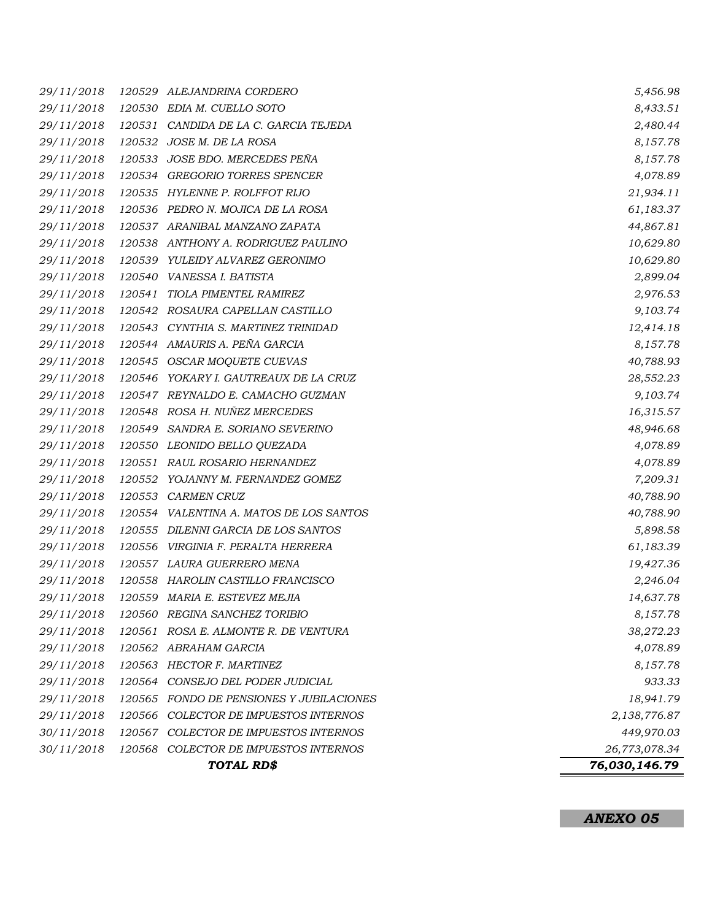| 29/11/2018 |        | 120529 ALEJANDRINA CORDERO               | 5,456.98      |
|------------|--------|------------------------------------------|---------------|
| 29/11/2018 |        | 120530 EDIA M. CUELLO SOTO               | 8,433.51      |
| 29/11/2018 |        | 120531 CANDIDA DE LA C. GARCIA TEJEDA    | 2,480.44      |
| 29/11/2018 |        | 120532 JOSE M. DE LA ROSA                | 8,157.78      |
| 29/11/2018 |        | 120533 JOSE BDO. MERCEDES PEÑA           | 8,157.78      |
| 29/11/2018 |        | 120534 GREGORIO TORRES SPENCER           | 4,078.89      |
| 29/11/2018 |        | 120535 HYLENNE P. ROLFFOT RIJO           | 21,934.11     |
| 29/11/2018 |        | 120536 PEDRO N. MOJICA DE LA ROSA        | 61,183.37     |
| 29/11/2018 |        | 120537 ARANIBAL MANZANO ZAPATA           | 44,867.81     |
| 29/11/2018 |        | 120538 ANTHONY A. RODRIGUEZ PAULINO      | 10,629.80     |
| 29/11/2018 |        | 120539 YULEIDY ALVAREZ GERONIMO          | 10,629.80     |
| 29/11/2018 |        | 120540 VANESSA I. BATISTA                | 2,899.04      |
| 29/11/2018 | 120541 | TIOLA PIMENTEL RAMIREZ                   | 2,976.53      |
| 29/11/2018 |        | 120542 ROSAURA CAPELLAN CASTILLO         | 9,103.74      |
| 29/11/2018 |        | 120543 CYNTHIA S. MARTINEZ TRINIDAD      | 12,414.18     |
| 29/11/2018 |        | 120544 AMAURIS A. PEÑA GARCIA            | 8,157.78      |
| 29/11/2018 |        | 120545 OSCAR MOQUETE CUEVAS              | 40,788.93     |
| 29/11/2018 |        | 120546 YOKARY I. GAUTREAUX DE LA CRUZ    | 28,552.23     |
| 29/11/2018 |        | 120547 REYNALDO E. CAMACHO GUZMAN        | 9,103.74      |
| 29/11/2018 |        | 120548 ROSA H. NUÑEZ MERCEDES            | 16,315.57     |
| 29/11/2018 | 120549 | SANDRA E. SORIANO SEVERINO               | 48,946.68     |
| 29/11/2018 |        | 120550 LEONIDO BELLO QUEZADA             | 4,078.89      |
| 29/11/2018 |        | 120551 RAUL ROSARIO HERNANDEZ            | 4,078.89      |
| 29/11/2018 |        | 120552 YOJANNY M. FERNANDEZ GOMEZ        | 7,209.31      |
| 29/11/2018 |        | 120553 CARMEN CRUZ                       | 40,788.90     |
| 29/11/2018 |        | 120554 VALENTINA A. MATOS DE LOS SANTOS  | 40,788.90     |
| 29/11/2018 |        | 120555 DILENNI GARCIA DE LOS SANTOS      | 5,898.58      |
| 29/11/2018 |        | 120556 VIRGINIA F. PERALTA HERRERA       | 61,183.39     |
| 29/11/2018 |        | 120557 LAURA GUERRERO MENA               | 19,427.36     |
| 29/11/2018 |        | 120558 HAROLIN CASTILLO FRANCISCO        | 2,246.04      |
| 29/11/2018 |        | 120559 MARIA E. ESTEVEZ MEJIA            | 14,637.78     |
| 29/11/2018 |        | 120560 REGINA SANCHEZ TORIBIO            | 8,157.78      |
| 29/11/2018 | 120561 | ROSA E. ALMONTE R. DE VENTURA            | 38,272.23     |
| 29/11/2018 |        | 120562 ABRAHAM GARCIA                    | 4,078.89      |
| 29/11/2018 |        | 120563 HECTOR F. MARTINEZ                | 8,157.78      |
| 29/11/2018 | 120564 | CONSEJO DEL PODER JUDICIAL               | 933.33        |
| 29/11/2018 |        | 120565 FONDO DE PENSIONES Y JUBILACIONES | 18,941.79     |
| 29/11/2018 | 120566 | COLECTOR DE IMPUESTOS INTERNOS           | 2,138,776.87  |
| 30/11/2018 | 120567 | COLECTOR DE IMPUESTOS INTERNOS           | 449,970.03    |
| 30/11/2018 |        | 120568 COLECTOR DE IMPUESTOS INTERNOS    | 26,773,078.34 |
|            |        | TOTAL RD\$                               | 76,030,146.79 |

*ANEXO 05*